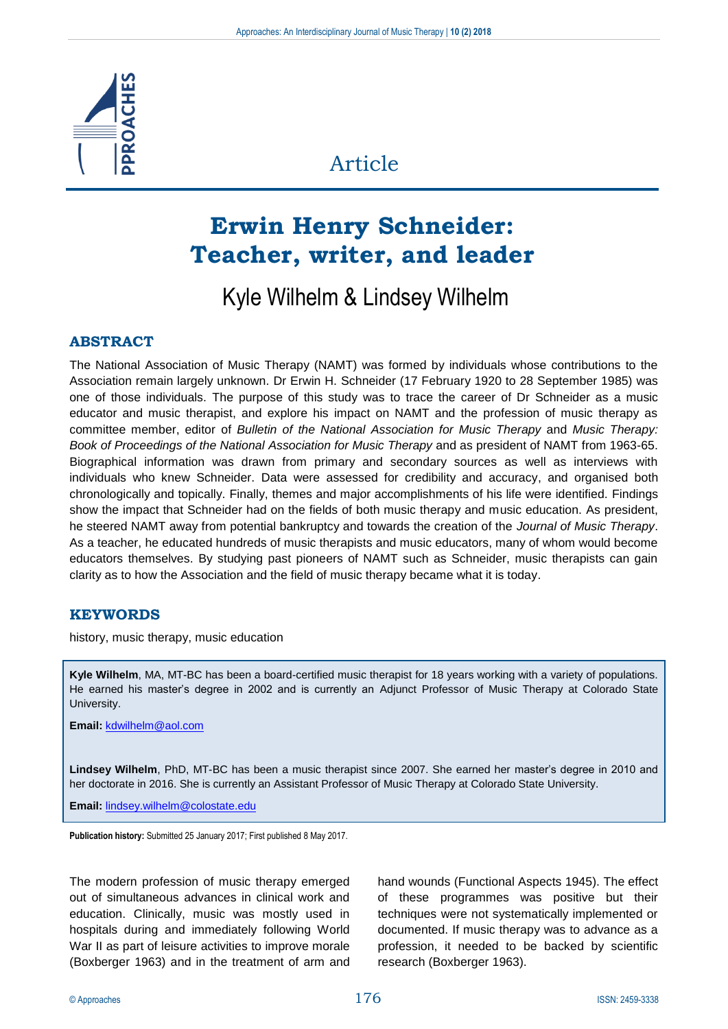

# Article

# **Erwin Henry Schneider: Teacher, writer, and leader**

# Kyle Wilhelm & Lindsey Wilhelm

## **ABSTRACT**

The National Association of Music Therapy (NAMT) was formed by individuals whose contributions to the Association remain largely unknown. Dr Erwin H. Schneider (17 February 1920 to 28 September 1985) was one of those individuals. The purpose of this study was to trace the career of Dr Schneider as a music educator and music therapist, and explore his impact on NAMT and the profession of music therapy as committee member, editor of *Bulletin of the National Association for Music Therapy* and *Music Therapy: Book of Proceedings of the National Association for Music Therapy* and as president of NAMT from 1963-65. Biographical information was drawn from primary and secondary sources as well as interviews with individuals who knew Schneider. Data were assessed for credibility and accuracy, and organised both chronologically and topically. Finally, themes and major accomplishments of his life were identified. Findings show the impact that Schneider had on the fields of both music therapy and music education. As president, he steered NAMT away from potential bankruptcy and towards the creation of the *Journal of Music Therapy*. As a teacher, he educated hundreds of music therapists and music educators, many of whom would become educators themselves. By studying past pioneers of NAMT such as Schneider, music therapists can gain clarity as to how the Association and the field of music therapy became what it is today.

## **KEYWORDS**

history, music therapy, music education

**Kyle Wilhelm**, MA, MT-BC has been a board-certified music therapist for 18 years working with a variety of populations. He earned his master's degree in 2002 and is currently an Adjunct Professor of Music Therapy at Colorado State University.

**Email:** [kdwilhelm@aol.com](mailto:kdwilhelm@aol.com)

**Lindsey Wilhelm**, PhD, MT-BC has been a music therapist since 2007. She earned her master's degree in 2010 and her doctorate in 2016. She is currently an Assistant Professor of Music Therapy at Colorado State University.

**Email:** [lindsey.wilhelm@colostate.edu](mailto:lindsey.wilhelm@colostate.edu)

**Publication history:** Submitted 25 January 2017; First published 8 May 2017.

The modern profession of music therapy emerged out of simultaneous advances in clinical work and education. Clinically, music was mostly used in hospitals during and immediately following World War II as part of leisure activities to improve morale (Boxberger 1963) and in the treatment of arm and hand wounds (Functional Aspects 1945). The effect of these programmes was positive but their techniques were not systematically implemented or documented. If music therapy was to advance as a profession, it needed to be backed by scientific research (Boxberger 1963).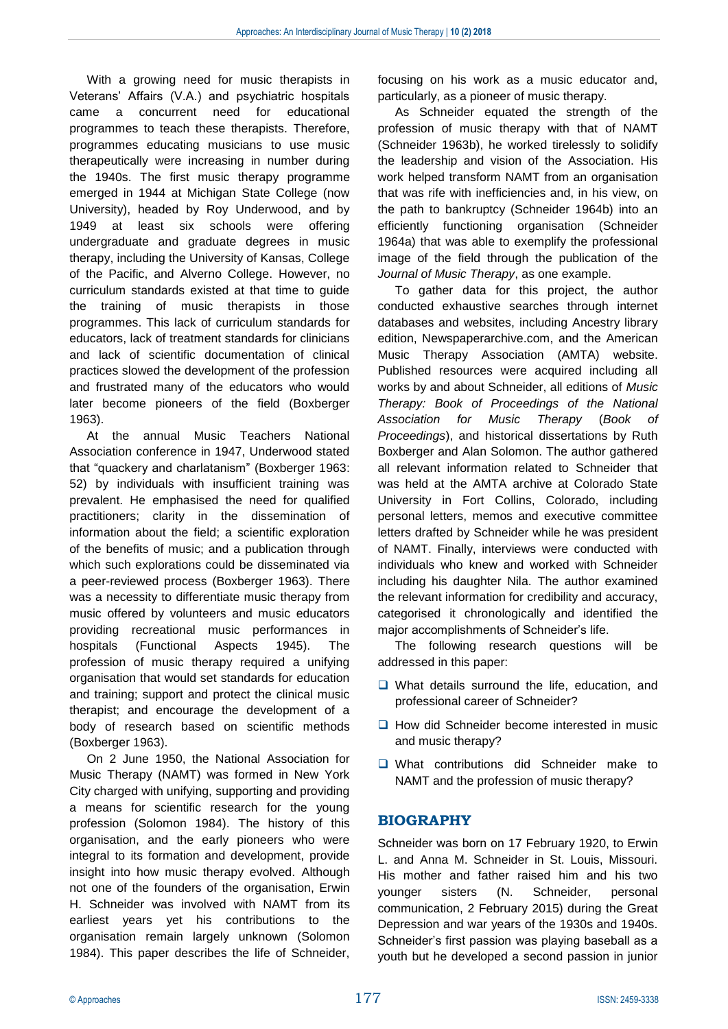With a growing need for music therapists in Veterans' Affairs (V.A.) and psychiatric hospitals came a concurrent need for educational programmes to teach these therapists. Therefore, programmes educating musicians to use music therapeutically were increasing in number during the 1940s. The first music therapy programme emerged in 1944 at Michigan State College (now University), headed by Roy Underwood, and by 1949 at least six schools were offering undergraduate and graduate degrees in music therapy, including the University of Kansas, College of the Pacific, and Alverno College. However, no curriculum standards existed at that time to guide the training of music therapists in those programmes. This lack of curriculum standards for educators, lack of treatment standards for clinicians and lack of scientific documentation of clinical practices slowed the development of the profession and frustrated many of the educators who would later become pioneers of the field (Boxberger 1963).

At the annual Music Teachers National Association conference in 1947, Underwood stated that "quackery and charlatanism" (Boxberger 1963: 52) by individuals with insufficient training was prevalent. He emphasised the need for qualified practitioners; clarity in the dissemination of information about the field; a scientific exploration of the benefits of music; and a publication through which such explorations could be disseminated via a peer-reviewed process (Boxberger 1963). There was a necessity to differentiate music therapy from music offered by volunteers and music educators providing recreational music performances in hospitals (Functional Aspects 1945). The profession of music therapy required a unifying organisation that would set standards for education and training; support and protect the clinical music therapist; and encourage the development of a body of research based on scientific methods (Boxberger 1963).

On 2 June 1950, the National Association for Music Therapy (NAMT) was formed in New York City charged with unifying, supporting and providing a means for scientific research for the young profession (Solomon 1984). The history of this organisation, and the early pioneers who were integral to its formation and development, provide insight into how music therapy evolved. Although not one of the founders of the organisation, Erwin H. Schneider was involved with NAMT from its earliest years yet his contributions to the organisation remain largely unknown (Solomon 1984). This paper describes the life of Schneider,

focusing on his work as a music educator and, particularly, as a pioneer of music therapy.

As Schneider equated the strength of the profession of music therapy with that of NAMT (Schneider 1963b), he worked tirelessly to solidify the leadership and vision of the Association. His work helped transform NAMT from an organisation that was rife with inefficiencies and, in his view, on the path to bankruptcy (Schneider 1964b) into an efficiently functioning organisation (Schneider 1964a) that was able to exemplify the professional image of the field through the publication of the *Journal of Music Therapy*, as one example.

To gather data for this project, the author conducted exhaustive searches through internet databases and websites, including Ancestry library edition, Newspaperarchive.com, and the American Music Therapy Association (AMTA) website. Published resources were acquired including all works by and about Schneider, all editions of *Music Therapy: Book of Proceedings of the National Association for Music Therapy* (*Book of Proceedings*), and historical dissertations by Ruth Boxberger and Alan Solomon. The author gathered all relevant information related to Schneider that was held at the AMTA archive at Colorado State University in Fort Collins, Colorado, including personal letters, memos and executive committee letters drafted by Schneider while he was president of NAMT. Finally, interviews were conducted with individuals who knew and worked with Schneider including his daughter Nila. The author examined the relevant information for credibility and accuracy, categorised it chronologically and identified the major accomplishments of Schneider's life.

The following research questions will be addressed in this paper:

- ❑ What details surround the life, education, and professional career of Schneider?
- ❑ How did Schneider become interested in music and music therapy?
- ❑ What contributions did Schneider make to NAMT and the profession of music therapy?

## **BIOGRAPHY**

Schneider was born on 17 February 1920, to Erwin L. and Anna M. Schneider in St. Louis, Missouri. His mother and father raised him and his two younger sisters (N. Schneider, personal communication, 2 February 2015) during the Great Depression and war years of the 1930s and 1940s. Schneider's first passion was playing baseball as a youth but he developed a second passion in junior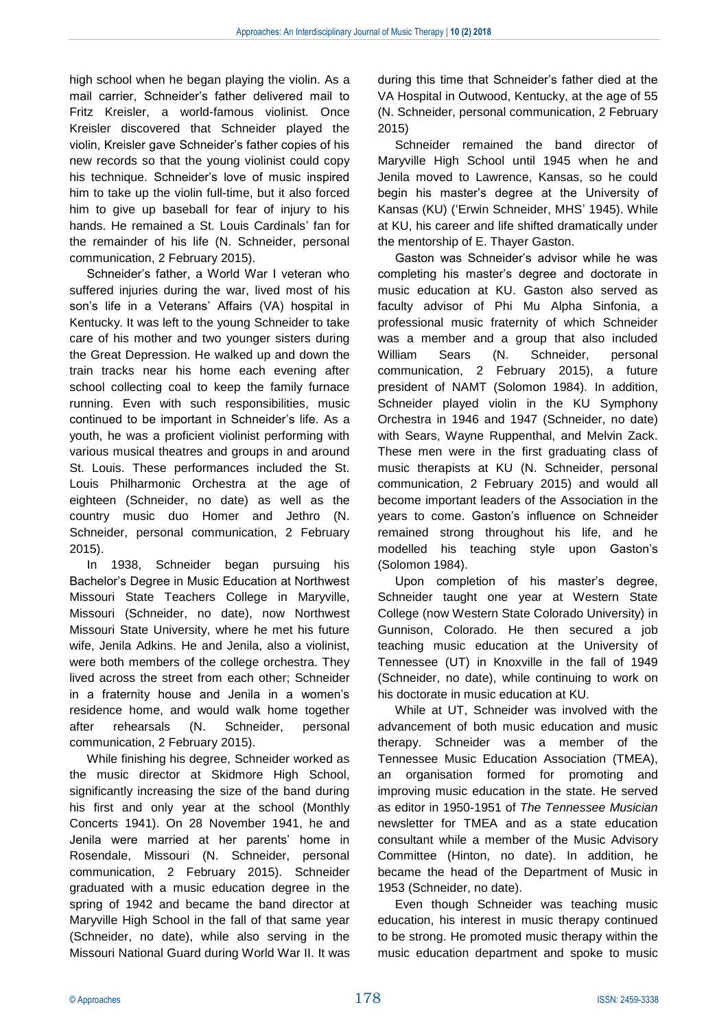high school when he began playing the violin. As a mail carrier, Schneider's father delivered mail to Fritz Kreisler, a world-famous violinist. Once Kreisler discovered that Schneider played the violin, Kreisler gave Schneider's father copies of his new records so that the young violinist could copy his technique. Schneider's love of music inspired him to take up the violin full-time, but it also forced him to give up baseball for fear of injury to his hands. He remained a St. Louis Cardinals' fan for the remainder of his life (N. Schneider, personal communication, 2 February 2015).

Schneider's father, a World War I veteran who suffered injuries during the war, lived most of his son's life in a Veterans' Affairs (VA) hospital in Kentucky. It was left to the young Schneider to take care of his mother and two younger sisters during the Great Depression. He walked up and down the train tracks near his home each evening after school collecting coal to keep the family furnace running. Even with such responsibilities, music continued to be important in Schneider's life. As a youth, he was a proficient violinist performing with various musical theatres and groups in and around St. Louis. These performances included the St. Louis Philharmonic Orchestra at the age of eighteen (Schneider, no date) as well as the country music duo Homer and Jethro (N. Schneider, personal communication, 2 February 2015).

In 1938, Schneider began pursuing his Bachelor's Degree in Music Education at Northwest Missouri State Teachers College in Maryville, Missouri (Schneider, no date), now Northwest Missouri State University, where he met his future wife, Jenila Adkins. He and Jenila, also a violinist, were both members of the college orchestra. They lived across the street from each other; Schneider in a fraternity house and Jenila in a women's residence home, and would walk home together after rehearsals (N. Schneider, personal communication, 2 February 2015).

While finishing his degree, Schneider worked as the music director at Skidmore High School, significantly increasing the size of the band during his first and only year at the school (Monthly Concerts 1941). On 28 November 1941, he and Jenila were married at her parents' home in Rosendale, Missouri (N. Schneider, personal communication, 2 February 2015). Schneider graduated with a music education degree in the spring of 1942 and became the band director at Maryville High School in the fall of that same year (Schneider, no date), while also serving in the Missouri National Guard during World War II. It was during this time that Schneider's father died at the VA Hospital in Outwood, Kentucky, at the age of 55 (N. Schneider, personal communication, 2 February 2015)

Schneider remained the band director of Maryville High School until 1945 when he and Jenila moved to Lawrence, Kansas, so he could begin his master's degree at the University of Kansas (KU) ('Erwin Schneider, MHS' 1945). While at KU, his career and life shifted dramatically under the mentorship of E. Thayer Gaston.

Gaston was Schneider's advisor while he was completing his master's degree and doctorate in music education at KU. Gaston also served as faculty advisor of Phi Mu Alpha Sinfonia, a professional music fraternity of which Schneider was a member and a group that also included William Sears (N. Schneider, personal communication, 2 February 2015), a future president of NAMT (Solomon 1984). In addition, Schneider played violin in the KU Symphony Orchestra in 1946 and 1947 (Schneider, no date) with Sears, Wayne Ruppenthal, and Melvin Zack. These men were in the first graduating class of music therapists at KU (N. Schneider, personal communication, 2 February 2015) and would all become important leaders of the Association in the years to come. Gaston's influence on Schneider remained strong throughout his life, and he modelled his teaching style upon Gaston's (Solomon 1984).

Upon completion of his master's degree, Schneider taught one year at Western State College (now Western State Colorado University) in Gunnison, Colorado. He then secured a job teaching music education at the University of Tennessee (UT) in Knoxville in the fall of 1949 (Schneider, no date), while continuing to work on his doctorate in music education at KU.

While at UT, Schneider was involved with the advancement of both music education and music therapy. Schneider was a member of the Tennessee Music Education Association (TMEA), an organisation formed for promoting and improving music education in the state. He served as editor in 1950-1951 of *The Tennessee Musician*  newsletter for TMEA and as a state education consultant while a member of the Music Advisory Committee (Hinton, no date). In addition, he became the head of the Department of Music in 1953 (Schneider, no date).

Even though Schneider was teaching music education, his interest in music therapy continued to be strong. He promoted music therapy within the music education department and spoke to music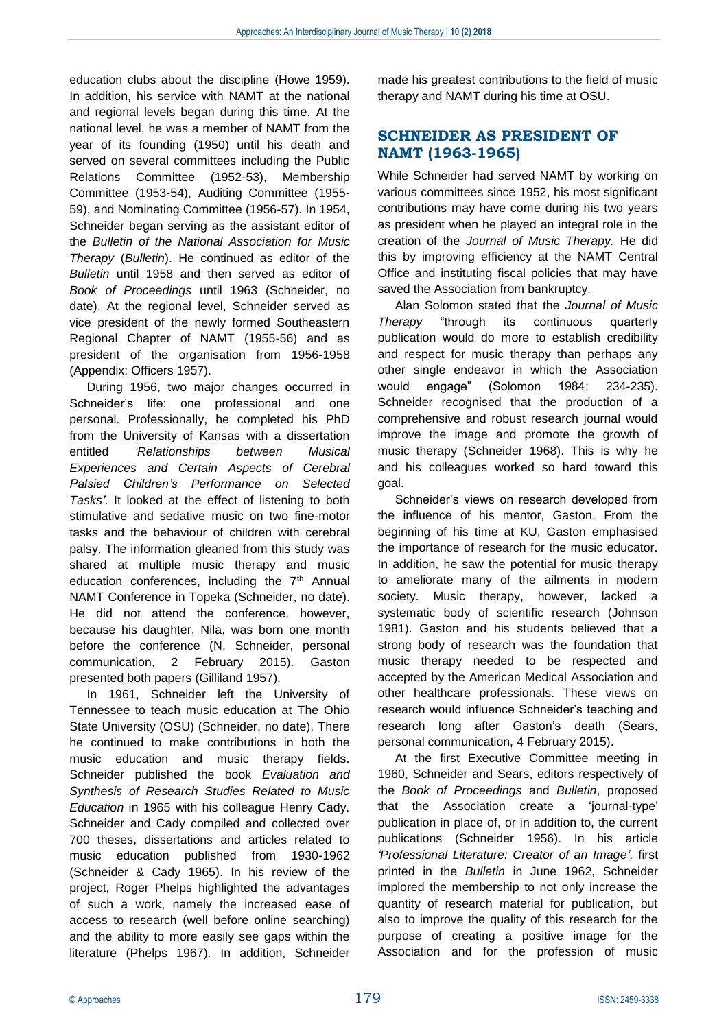education clubs about the discipline (Howe 1959). In addition, his service with NAMT at the national and regional levels began during this time. At the national level, he was a member of NAMT from the year of its founding (1950) until his death and served on several committees including the Public Relations Committee (1952-53), Membership Committee (1953-54), Auditing Committee (1955- 59), and Nominating Committee (1956-57). In 1954, Schneider began serving as the assistant editor of the *Bulletin of the National Association for Music Therapy* (*Bulletin*). He continued as editor of the *Bulletin* until 1958 and then served as editor of *Book of Proceedings* until 1963 (Schneider, no date). At the regional level, Schneider served as vice president of the newly formed Southeastern Regional Chapter of NAMT (1955-56) and as president of the organisation from 1956-1958 (Appendix: Officers 1957).

During 1956, two major changes occurred in Schneider's life: one professional and one personal. Professionally, he completed his PhD from the University of Kansas with a dissertation entitled *'Relationships between Musical Experiences and Certain Aspects of Cerebral Palsied Children's Performance on Selected Tasks'*. It looked at the effect of listening to both stimulative and sedative music on two fine-motor tasks and the behaviour of children with cerebral palsy. The information gleaned from this study was shared at multiple music therapy and music education conferences, including the 7<sup>th</sup> Annual NAMT Conference in Topeka (Schneider, no date). He did not attend the conference, however, because his daughter, Nila, was born one month before the conference (N. Schneider, personal communication, 2 February 2015). Gaston presented both papers (Gilliland 1957).

In 1961, Schneider left the University of Tennessee to teach music education at The Ohio State University (OSU) (Schneider, no date). There he continued to make contributions in both the music education and music therapy fields. Schneider published the book *Evaluation and Synthesis of Research Studies Related to Music Education* in 1965 with his colleague Henry Cady. Schneider and Cady compiled and collected over 700 theses, dissertations and articles related to music education published from 1930-1962 (Schneider & Cady 1965). In his review of the project, Roger Phelps highlighted the advantages of such a work, namely the increased ease of access to research (well before online searching) and the ability to more easily see gaps within the literature (Phelps 1967). In addition, Schneider made his greatest contributions to the field of music therapy and NAMT during his time at OSU.

## **SCHNEIDER AS PRESIDENT OF NAMT (1963-1965)**

While Schneider had served NAMT by working on various committees since 1952, his most significant contributions may have come during his two years as president when he played an integral role in the creation of the *Journal of Music Therapy.* He did this by improving efficiency at the NAMT Central Office and instituting fiscal policies that may have saved the Association from bankruptcy.

Alan Solomon stated that the *Journal of Music Therapy* "through its continuous quarterly publication would do more to establish credibility and respect for music therapy than perhaps any other single endeavor in which the Association would engage" (Solomon 1984: 234-235). Schneider recognised that the production of a comprehensive and robust research journal would improve the image and promote the growth of music therapy (Schneider 1968). This is why he and his colleagues worked so hard toward this goal.

Schneider's views on research developed from the influence of his mentor, Gaston. From the beginning of his time at KU, Gaston emphasised the importance of research for the music educator. In addition, he saw the potential for music therapy to ameliorate many of the ailments in modern society. Music therapy, however, lacked a systematic body of scientific research (Johnson 1981). Gaston and his students believed that a strong body of research was the foundation that music therapy needed to be respected and accepted by the American Medical Association and other healthcare professionals. These views on research would influence Schneider's teaching and research long after Gaston's death (Sears, personal communication, 4 February 2015).

At the first Executive Committee meeting in 1960, Schneider and Sears, editors respectively of the *Book of Proceedings* and *Bulletin*, proposed that the Association create a 'journal-type' publication in place of, or in addition to, the current publications (Schneider 1956). In his article *'Professional Literature: Creator of an Image',* first printed in the *Bulletin* in June 1962, Schneider implored the membership to not only increase the quantity of research material for publication, but also to improve the quality of this research for the purpose of creating a positive image for the Association and for the profession of music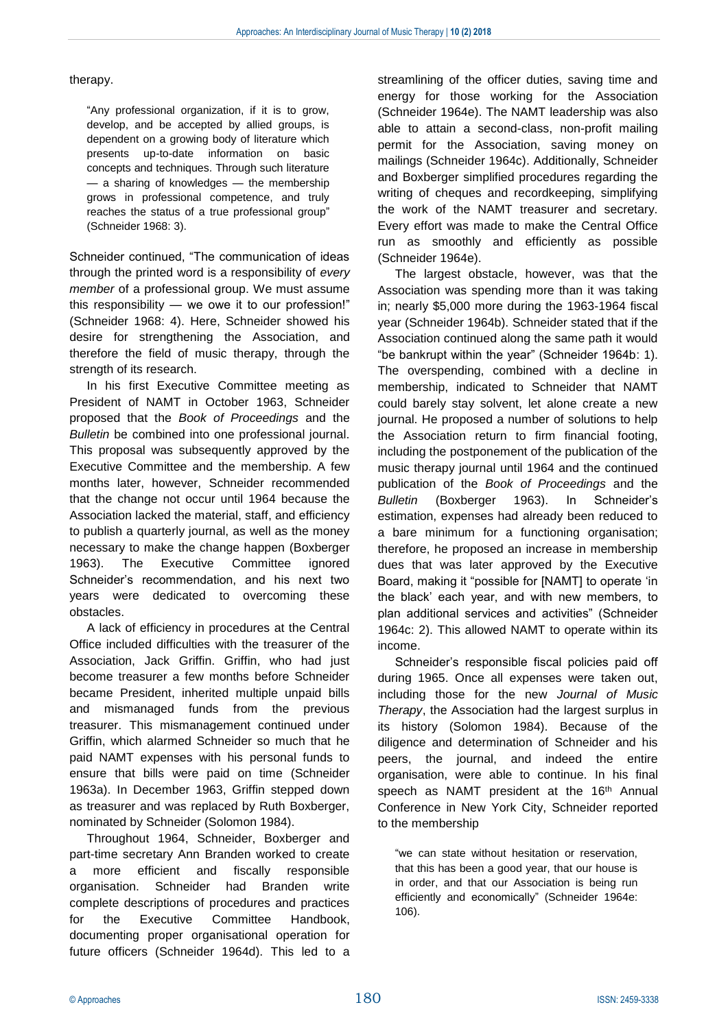#### therapy.

"Any professional organization, if it is to grow, develop, and be accepted by allied groups, is dependent on a growing body of literature which presents up-to-date information on basic concepts and techniques. Through such literature — a sharing of knowledges — the membership grows in professional competence, and truly reaches the status of a true professional group" (Schneider 1968: 3).

Schneider continued, "The communication of ideas through the printed word is a responsibility of *every member* of a professional group. We must assume this responsibility — we owe it to our profession!" (Schneider 1968: 4). Here, Schneider showed his desire for strengthening the Association, and therefore the field of music therapy, through the strength of its research.

In his first Executive Committee meeting as President of NAMT in October 1963, Schneider proposed that the *Book of Proceedings* and the *Bulletin* be combined into one professional journal. This proposal was subsequently approved by the Executive Committee and the membership. A few months later, however, Schneider recommended that the change not occur until 1964 because the Association lacked the material, staff, and efficiency to publish a quarterly journal, as well as the money necessary to make the change happen (Boxberger 1963). The Executive Committee ignored Schneider's recommendation, and his next two years were dedicated to overcoming these obstacles.

A lack of efficiency in procedures at the Central Office included difficulties with the treasurer of the Association, Jack Griffin. Griffin, who had just become treasurer a few months before Schneider became President, inherited multiple unpaid bills and mismanaged funds from the previous treasurer. This mismanagement continued under Griffin, which alarmed Schneider so much that he paid NAMT expenses with his personal funds to ensure that bills were paid on time (Schneider 1963a). In December 1963, Griffin stepped down as treasurer and was replaced by Ruth Boxberger, nominated by Schneider (Solomon 1984).

Throughout 1964, Schneider, Boxberger and part-time secretary Ann Branden worked to create more efficient and fiscally responsible organisation. Schneider had Branden write complete descriptions of procedures and practices for the Executive Committee Handbook, documenting proper organisational operation for future officers (Schneider 1964d). This led to a

streamlining of the officer duties, saving time and energy for those working for the Association (Schneider 1964e). The NAMT leadership was also able to attain a second-class, non-profit mailing permit for the Association, saving money on mailings (Schneider 1964c). Additionally, Schneider and Boxberger simplified procedures regarding the writing of cheques and recordkeeping, simplifying the work of the NAMT treasurer and secretary. Every effort was made to make the Central Office run as smoothly and efficiently as possible (Schneider 1964e).

The largest obstacle, however, was that the Association was spending more than it was taking in; nearly \$5,000 more during the 1963-1964 fiscal year (Schneider 1964b). Schneider stated that if the Association continued along the same path it would "be bankrupt within the year" (Schneider 1964b: 1). The overspending, combined with a decline in membership, indicated to Schneider that NAMT could barely stay solvent, let alone create a new journal. He proposed a number of solutions to help the Association return to firm financial footing, including the postponement of the publication of the music therapy journal until 1964 and the continued publication of the *Book of Proceedings* and the *Bulletin* (Boxberger 1963). In Schneider's estimation, expenses had already been reduced to a bare minimum for a functioning organisation; therefore, he proposed an increase in membership dues that was later approved by the Executive Board, making it "possible for [NAMT] to operate 'in the black' each year, and with new members, to plan additional services and activities" (Schneider 1964c: 2). This allowed NAMT to operate within its income.

Schneider's responsible fiscal policies paid off during 1965. Once all expenses were taken out, including those for the new *Journal of Music Therapy*, the Association had the largest surplus in its history (Solomon 1984). Because of the diligence and determination of Schneider and his peers, the journal, and indeed the entire organisation, were able to continue. In his final speech as NAMT president at the 16<sup>th</sup> Annual Conference in New York City, Schneider reported to the membership

"we can state without hesitation or reservation, that this has been a good year, that our house is in order, and that our Association is being run efficiently and economically" (Schneider 1964e: 106).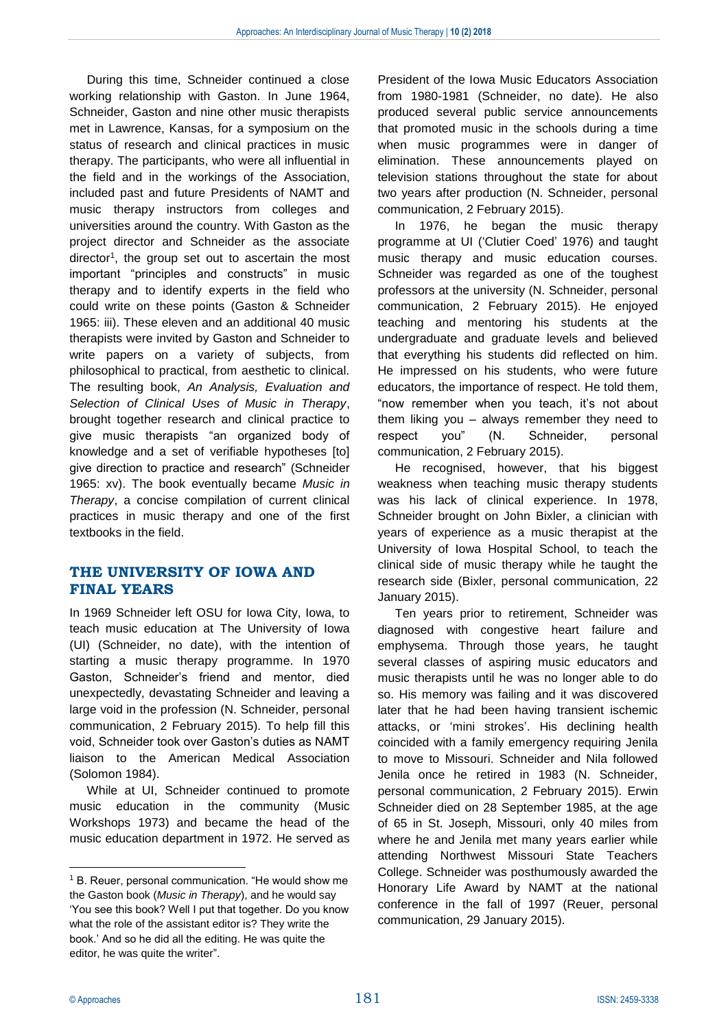During this time, Schneider continued a close working relationship with Gaston. In June 1964, Schneider, Gaston and nine other music therapists met in Lawrence, Kansas, for a symposium on the status of research and clinical practices in music therapy. The participants, who were all influential in the field and in the workings of the Association, included past and future Presidents of NAMT and music therapy instructors from colleges and universities around the country. With Gaston as the project director and Schneider as the associate director<sup>1</sup>, the group set out to ascertain the most important "principles and constructs" in music therapy and to identify experts in the field who could write on these points (Gaston & Schneider 1965: iii). These eleven and an additional 40 music therapists were invited by Gaston and Schneider to write papers on a variety of subjects, from philosophical to practical, from aesthetic to clinical. The resulting book, *An Analysis, Evaluation and Selection of Clinical Uses of Music in Therapy*, brought together research and clinical practice to give music therapists "an organized body of knowledge and a set of verifiable hypotheses [to] give direction to practice and research" (Schneider 1965: xv). The book eventually became *Music in Therapy*, a concise compilation of current clinical practices in music therapy and one of the first textbooks in the field.

# **THE UNIVERSITY OF IOWA AND FINAL YEARS**

In 1969 Schneider left OSU for Iowa City, Iowa, to teach music education at The University of Iowa (UI) (Schneider, no date), with the intention of starting a music therapy programme. In 1970 Gaston, Schneider's friend and mentor, died unexpectedly, devastating Schneider and leaving a large void in the profession (N. Schneider, personal communication, 2 February 2015). To help fill this void, Schneider took over Gaston's duties as NAMT liaison to the American Medical Association (Solomon 1984).

While at UI, Schneider continued to promote music education in the community (Music Workshops 1973) and became the head of the music education department in 1972. He served as

President of the Iowa Music Educators Association from 1980-1981 (Schneider, no date). He also produced several public service announcements that promoted music in the schools during a time when music programmes were in danger of elimination. These announcements played on television stations throughout the state for about two years after production (N. Schneider, personal communication, 2 February 2015).

In 1976, he began the music therapy programme at UI ('Clutier Coed' 1976) and taught music therapy and music education courses. Schneider was regarded as one of the toughest professors at the university (N. Schneider, personal communication, 2 February 2015). He enjoyed teaching and mentoring his students at the undergraduate and graduate levels and believed that everything his students did reflected on him. He impressed on his students, who were future educators, the importance of respect. He told them, "now remember when you teach, it's not about them liking you – always remember they need to respect you" (N. Schneider, personal communication, 2 February 2015).

He recognised, however, that his biggest weakness when teaching music therapy students was his lack of clinical experience. In 1978, Schneider brought on John Bixler, a clinician with years of experience as a music therapist at the University of Iowa Hospital School, to teach the clinical side of music therapy while he taught the research side (Bixler, personal communication, 22 January 2015).

Ten years prior to retirement, Schneider was diagnosed with congestive heart failure and emphysema. Through those years, he taught several classes of aspiring music educators and music therapists until he was no longer able to do so. His memory was failing and it was discovered later that he had been having transient ischemic attacks, or 'mini strokes'. His declining health coincided with a family emergency requiring Jenila to move to Missouri. Schneider and Nila followed Jenila once he retired in 1983 (N. Schneider, personal communication, 2 February 2015). Erwin Schneider died on 28 September 1985, at the age of 65 in St. Joseph, Missouri, only 40 miles from where he and Jenila met many years earlier while attending Northwest Missouri State Teachers College. Schneider was posthumously awarded the Honorary Life Award by NAMT at the national conference in the fall of 1997 (Reuer, personal communication, 29 January 2015).

 $\overline{a}$ <sup>1</sup> B. Reuer, personal communication. "He would show me the Gaston book (*Music in Therapy*), and he would say 'You see this book? Well I put that together. Do you know what the role of the assistant editor is? They write the book.' And so he did all the editing. He was quite the editor, he was quite the writer".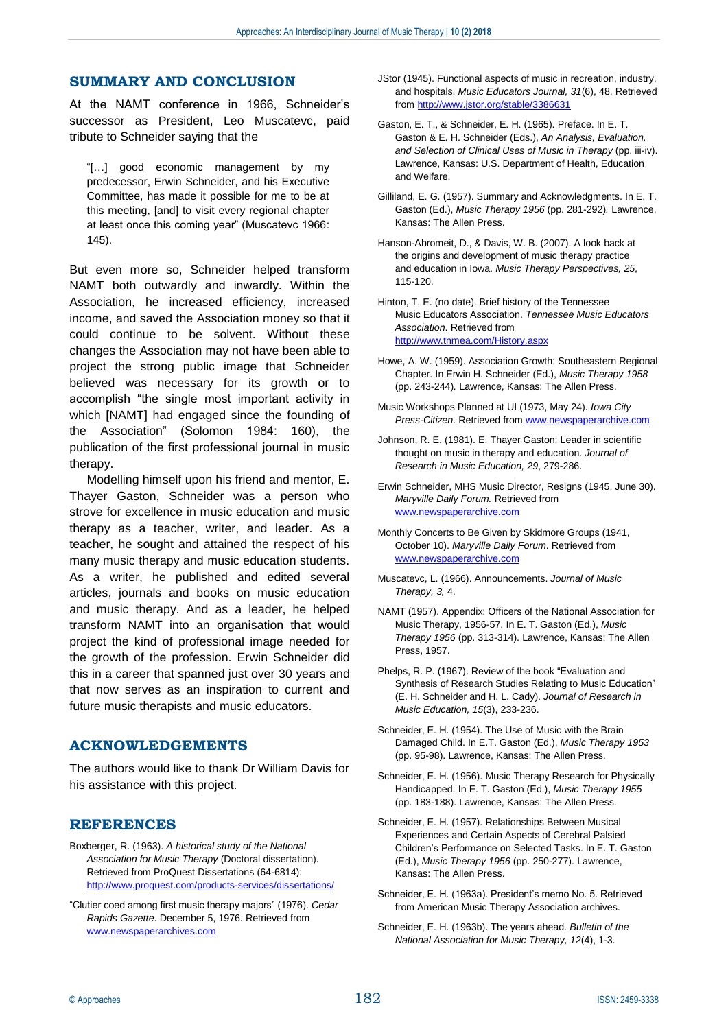## **SUMMARY AND CONCLUSION**

At the NAMT conference in 1966, Schneider's successor as President, Leo Muscatevc, paid tribute to Schneider saying that the

"[…] good economic management by my predecessor, Erwin Schneider, and his Executive Committee, has made it possible for me to be at this meeting, [and] to visit every regional chapter at least once this coming year" (Muscatevc 1966: 145).

But even more so, Schneider helped transform NAMT both outwardly and inwardly. Within the Association, he increased efficiency, increased income, and saved the Association money so that it could continue to be solvent. Without these changes the Association may not have been able to project the strong public image that Schneider believed was necessary for its growth or to accomplish "the single most important activity in which [NAMT] had engaged since the founding of the Association" (Solomon 1984: 160), the publication of the first professional journal in music therapy.

Modelling himself upon his friend and mentor, E. Thayer Gaston, Schneider was a person who strove for excellence in music education and music therapy as a teacher, writer, and leader. As a teacher, he sought and attained the respect of his many music therapy and music education students. As a writer, he published and edited several articles, journals and books on music education and music therapy. And as a leader, he helped transform NAMT into an organisation that would project the kind of professional image needed for the growth of the profession. Erwin Schneider did this in a career that spanned just over 30 years and that now serves as an inspiration to current and future music therapists and music educators.

### **ACKNOWLEDGEMENTS**

The authors would like to thank Dr William Davis for his assistance with this project.

### **REFERENCES**

- Boxberger, R. (1963). *A historical study of the National Association for Music Therapy* (Doctoral dissertation). Retrieved from ProQuest Dissertations (64-6814): <http://www.proquest.com/products-services/dissertations/>
- "Clutier coed among first music therapy majors" (1976). *Cedar Rapids Gazette*. December 5, 1976. Retrieved from [www.newspaperarchives.com](http://www.newspaperarchives.com/)
- JStor (1945). Functional aspects of music in recreation, industry, and hospitals. *Music Educators Journal, 31*(6), 48. Retrieved fro[m http://www.jstor.org/stable/3386631](http://www.jstor.org/stable/3386631)
- Gaston, E. T., & Schneider, E. H. (1965). Preface. In E. T. Gaston & E. H. Schneider (Eds.), *An Analysis, Evaluation, and Selection of Clinical Uses of Music in Therapy* (pp. iii-iv). Lawrence, Kansas: U.S. Department of Health, Education and Welfare.
- Gilliland, E. G. (1957). Summary and Acknowledgments. In E. T. Gaston (Ed.), *Music Therapy 1956* (pp. 281-292)*.* Lawrence, Kansas: The Allen Press.
- Hanson-Abromeit, D., & Davis, W. B. (2007). A look back at the origins and development of music therapy practice and education in Iowa. *Music Therapy Perspectives, 25*, 115-120.
- Hinton, T. E. (no date). Brief history of the Tennessee Music Educators Association. *Tennessee Music Educators Association*. Retrieved from <http://www.tnmea.com/History.aspx>
- Howe, A. W. (1959). Association Growth: Southeastern Regional Chapter. In Erwin H. Schneider (Ed.), *Music Therapy 1958*  (pp. 243-244)*.* Lawrence, Kansas: The Allen Press.
- Music Workshops Planned at UI (1973, May 24). *Iowa City Press-Citizen*. Retrieved from [www.newspaperarchive.com](http://www.newspaperarchive.com/)
- Johnson, R. E. (1981). E. Thayer Gaston: Leader in scientific thought on music in therapy and education. *Journal of Research in Music Education, 29*, 279-286.
- Erwin Schneider, MHS Music Director, Resigns (1945, June 30). *Maryville Daily Forum.* Retrieved from [www.newspaperarchive.com](http://www.newspaperarchive.com/)
- Monthly Concerts to Be Given by Skidmore Groups (1941, October 10). *Maryville Daily Forum*. Retrieved from [www.newspaperarchive.com](http://www.newspaperarchive.com/)
- Muscatevc, L. (1966). Announcements. *Journal of Music Therapy, 3,* 4.
- NAMT (1957). Appendix: Officers of the National Association for Music Therapy, 1956-57. In E. T. Gaston (Ed.), *Music Therapy 1956* (pp. 313-314). Lawrence, Kansas: The Allen Press, 1957.
- Phelps, R. P. (1967). Review of the book "Evaluation and Synthesis of Research Studies Relating to Music Education" (E. H. Schneider and H. L. Cady). *Journal of Research in Music Education, 15*(3), 233-236.
- Schneider, E. H. (1954). The Use of Music with the Brain Damaged Child. In E.T. Gaston (Ed.), *Music Therapy 1953* (pp. 95-98). Lawrence, Kansas: The Allen Press.
- Schneider, E. H. (1956). Music Therapy Research for Physically Handicapped. In E. T. Gaston (Ed.), *Music Therapy 1955* (pp. 183-188). Lawrence, Kansas: The Allen Press.
- Schneider, E. H. (1957). Relationships Between Musical Experiences and Certain Aspects of Cerebral Palsied Children's Performance on Selected Tasks. In E. T. Gaston (Ed.), *Music Therapy 1956* (pp. 250-277). Lawrence, Kansas: The Allen Press.
- Schneider, E. H. (1963a). President's memo No. 5. Retrieved from American Music Therapy Association archives.
- Schneider, E. H. (1963b). The years ahead. *Bulletin of the National Association for Music Therapy, 12*(4), 1-3.